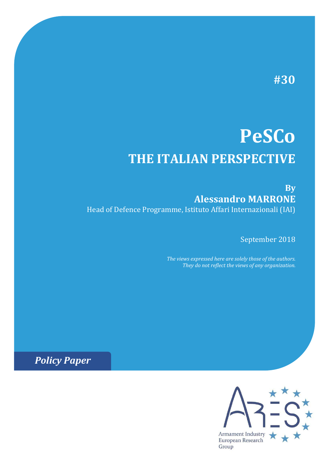# **#30**

# **PeSCo THE ITALIAN PERSPECTIVE**

# **By Alessandro MARRONE** Head of Defence Programme, Istituto Affari Internazionali (IAI)

September 2018

*The views expressed here are solely those of the authors. They do not reflect the views of any organization.*

*Policy Paper*

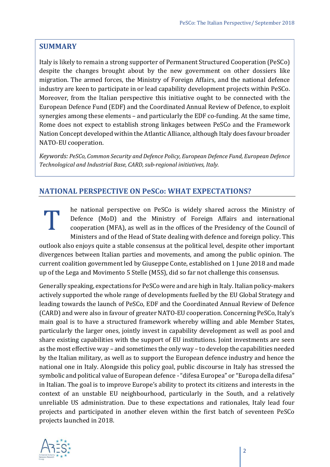#### **SUMMARY**

Italy is likely to remain a strong supporter of Permanent Structured Cooperation (PeSCo) despite the changes brought about by the new government on other dossiers like migration. The armed forces, the Ministry of Foreign Affairs, and the national defence industry are keen to participate in or lead capability development projects within PeSCo. Moreover, from the Italian perspective this initiative ought to be connected with the European Defence Fund (EDF) and the Coordinated Annual Review of Defence, to exploit synergies among these elements – and particularly the EDF co-funding. At the same time, Rome does not expect to establish strong linkages between PeSCo and the Framework Nation Concept developed within the Atlantic Alliance, although Italy does favour broader NATO-EU cooperation.

*Keywords: PeSCo, Common Security and Defence Policy, European Defence Fund, European Defence Technological and Industrial Base, CARD, sub‐regional initiatives, Italy.*

#### **NATIONAL PERSPECTIVE ON PeSCo: WHAT EXPECTATIONS?**

he national perspective on PeSCo is widely shared across the Ministry of Defence (MoD) and the Ministry of Foreign Affairs and international cooperation (MFA), as well as in the offices of the Presidency of the Council of Ministers and of the Head of State dealing with defence and foreign policy. This outlook also enjoys quite a stable consensus at the political level, despite other important divergences between Italian parties and movements, and among the public opinion. The current coalition government led by Giuseppe Conte, established on 1 June 2018 and made up of the Lega and Movimento 5 Stelle (M5S), did so far not challenge this consensus. T

Generally speaking, expectations for PeSCo were and are high in Italy. Italian policy-makers actively supported the whole range of developments fuelled by the EU Global Strategy and leading towards the launch of PeSCo, EDF and the Coordinated Annual Review of Defence (CARD) and were also in favour of greater NATO-EU cooperation. Concerning PeSCo, Italy's main goal is to have a structured framework whereby willing and able Member States, particularly the larger ones, jointly invest in capability development as well as pool and share existing capabilities with the support of EU institutions. Joint investments are seen as the most effective way – and sometimes the only way – to develop the capabilities needed by the Italian military, as well as to support the European defence industry and hence the national one in Italy. Alongside this policy goal, public discourse in Italy has stressed the symbolic and political value of European defence - "difesa Europea" or "Europa della difesa" in Italian. The goal is to improve Europe's ability to protect its citizens and interests in the context of an unstable EU neighbourhood, particularly in the South, and a relatively unreliable US administration. Due to these expectations and rationales, Italy lead four projects and participated in another eleven within the first batch of seventeen PeSCo projects launched in 2018.

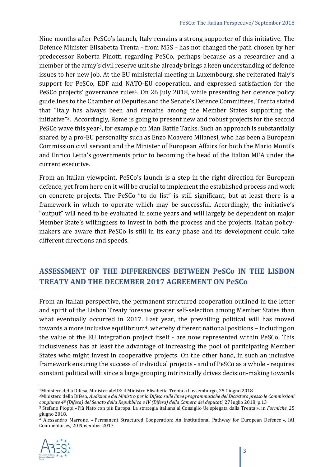Nine months after PeSCo's launch, Italy remains a strong supporter of this initiative. The Defence Minister Elisabetta Trenta - from M5S - has not changed the path chosen by her predecessor Roberta Pinotti regarding PeSCo, perhaps because as a researcher and a member of the army's civil reserve unit she already brings a keen understanding of defence issues to her new job. At the EU ministerial meeting in Luxembourg, she reiterated Italy's support for PeSCo, EDF and NATO-EU cooperation, and expressed satisfaction for the PeSCo projects' governance rules<sup>1</sup>. On 26 July 2018, while presenting her defence policy guidelines to the Chamber of Deputies and the Senate's Defence Committees, Trenta stated that "Italy has always been and remains among the Member States supporting the initiative"2. Accordingly, Rome is going to present new and robust projects for the second PeSCo wave this year<sup>3</sup>, for example on Man Battle Tanks. Such an approach is substantially shared by a pro-EU personality such as Enzo Moavero Milanesi, who has been a European Commission civil servant and the Minister of European Affairs for both the Mario Monti's and Enrico Letta's governments prior to becoming the head of the Italian MFA under the current executive.

From an Italian viewpoint, PeSCo's launch is a step in the right direction for European defence, yet from here on it will be crucial to implement the established process and work on concrete projects. The PeSCo "to do list" is still significant, but at least there is a framework in which to operate which may be successful. Accordingly, the initiative's "output" will need to be evaluated in some years and will largely be dependent on major Member State's willingness to invest in both the process and the projects. Italian policymakers are aware that PeSCo is still in its early phase and its development could take different directions and speeds.

# **ASSESSMENT OF THE DIFFERENCES BETWEEN PeSCo IN THE LISBON TREATY AND THE DECEMBER 2017 AGREEMENT ON PeSCo**

From an Italian perspective, the permanent structured cooperation outlined in the letter and spirit of the Lisbon Treaty foresaw greater self-selection among Member States than what eventually occurred in 2017. Last year, the prevailing political will has moved towards a more inclusive equilibrium<sup>4</sup>, whereby different national positions - including on the value of the EU integration project itself - are now represented within PeSCo. This inclusiveness has at least the advantage of increasing the pool of participating Member States who might invest in cooperative projects. On the other hand, in such an inclusive framework ensuring the success of individual projects - and of PeSCo as a whole - requires constant political will: since a large grouping intrinsically drives decision-making towards

<sup>4</sup> Alessandro Marrone, « Permanent Structured Cooperation: An Institutional Pathway for European Defence », IAI Commentaries*,* 20 November 2017.



.<br>-

<sup>&</sup>lt;sup>1</sup>Ministero della Difesa, MinisterialeUE: il Ministro Elisabetta Trenta a Lussemburgo, 25 Giugno 2018<br><sup>2</sup>Ministero della Difesa, *Audizione del Ministro per la Difesa sulle linee programmatiche del Dicastero presso le Com* 

congiunte 4<sup>ª</sup> (Difesa) del Senato della Repubblica e IV (Difesa) della Camera dei deputati, 27 luglio 2018, p.13<br><sup>3</sup> Stefano Pioppi «Più Nato con più Europa. La strategia italiana al Consiglio Ue spiegata dalla Trenta », giugno 2018.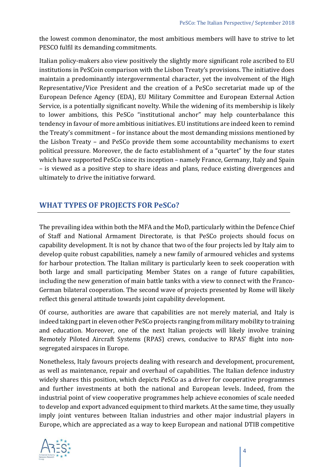the lowest common denominator, the most ambitious members will have to strive to let PESCO fulfil its demanding commitments.

Italian policy-makers also view positively the slightly more significant role ascribed to EU institutions in PeSCoin comparison with the Lisbon Treaty's provisions. The initiative does maintain a predominantly intergovernmental character, yet the involvement of the High Representative/Vice President and the creation of a PeSCo secretariat made up of the European Defence Agency (EDA), EU Military Committee and European External Action Service, is a potentially significant novelty. While the widening of its membership is likely to lower ambitions, this PeSCo "institutional anchor" may help counterbalance this tendency in favour of more ambitious initiatives. EU institutions are indeed keen to remind the Treaty's commitment – for instance about the most demanding missions mentioned by the Lisbon Treaty – and PeSCo provide them some accountability mechanisms to exert political pressure. Moreover, the de facto establishment of a "quartet" by the four states which have supported PeSCo since its inception – namely France, Germany, Italy and Spain – is viewed as a positive step to share ideas and plans, reduce existing divergences and ultimately to drive the initiative forward.

## **WHAT TYPES OF PROJECTS FOR PeSCo?**

The prevailing idea within both the MFA and the MoD, particularly within the Defence Chief of Staff and National Armament Directorate, is that PeSCo projects should focus on capability development. It is not by chance that two of the four projects led by Italy aim to develop quite robust capabilities, namely a new family of armoured vehicles and systems for harbour protection. The Italian military is particularly keen to seek cooperation with both large and small participating Member States on a range of future capabilities, including the new generation of main battle tanks with a view to connect with the Franco-German bilateral cooperation. The second wave of projects presented by Rome will likely reflect this general attitude towards joint capability development.

Of course, authorities are aware that capabilities are not merely material, and Italy is indeed taking part in eleven other PeSCo projects ranging from military mobility to training and education. Moreover, one of the next Italian projects will likely involve training Remotely Piloted Aircraft Systems (RPAS) crews, conducive to RPAS' flight into nonsegregated airspaces in Europe.

Nonetheless, Italy favours projects dealing with research and development, procurement, as well as maintenance, repair and overhaul of capabilities. The Italian defence industry widely shares this position, which depicts PeSCo as a driver for cooperative programmes and further investments at both the national and European levels. Indeed, from the industrial point of view cooperative programmes help achieve economies of scale needed to develop and export advanced equipment to third markets. At the same time, they usually imply joint ventures between Italian industries and other major industrial players in Europe, which are appreciated as a way to keep European and national DTIB competitive

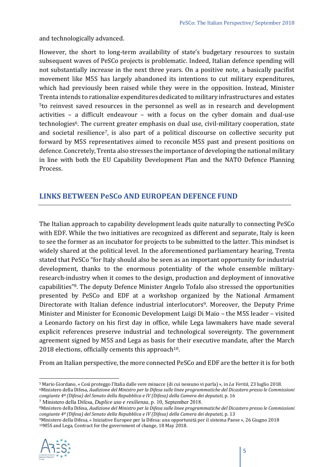and technologically advanced.

However, the short to long-term availability of state's budgetary resources to sustain subsequent waves of PeSCo projects is problematic. Indeed, Italian defence spending will not substantially increase in the next three years. On a positive note, a basically pacifist movement like M5S has largely abandoned its intentions to cut military expenditures, which had previously been raised while they were in the opposition. Instead, Minister Trenta intends to rationalize expenditures dedicated to military infrastructures and estates 5to reinvest saved resources in the personnel as well as in research and development activities – a difficult endeavour – with a focus on the cyber domain and dual-use technologies6. The current greater emphasis on dual use, civil-military cooperation, state and societal resilience7, is also part of a political discourse on collective security put forward by M5S representatives aimed to reconcile M5S past and present positions on defence. Concretely, Trenta also stresses the importance of developing the national military in line with both the EU Capability Development Plan and the NATO Defence Planning Process.

#### **LINKS BETWEEN PeSCo AND EUROPEAN DEFENCE FUND**

The Italian approach to capability development leads quite naturally to connecting PeSCo with EDF. While the two initiatives are recognized as different and separate, Italy is keen to see the former as an incubator for projects to be submitted to the latter. This mindset is widely shared at the political level. In the aforementioned parliamentary hearing, Trenta stated that PeSCo "for Italy should also be seen as an important opportunity for industrial development, thanks to the enormous potentiality of the whole ensemble militaryresearch-industry when it comes to the design, production and deployment of innovative capabilities"8. The deputy Defence Minister Angelo Tofalo also stressed the opportunities presented by PeSCo and EDF at a workshop organized by the National Armament Directorate with Italian defence industrial interlocutors<sup>9</sup>. Moreover, the Deputy Prime Minister and Minister for Economic Development Luigi Di Maio – the M5S leader – visited a Leonardo factory on his first day in office, while Lega lawmakers have made several explicit references preserve industrial and technological sovereignty. The government agreement signed by M5S and Lega as basis for their executive mandate, after the March 2018 elections, officially cements this approach<sup>10</sup>.

From an Italian perspective, the more connected PeSCo and EDF are the better it is for both

congiunte 4ª (Difesa) del Senato della Repubblica e IV (Difesa) della Camera dei deputati, p. 13<br><sup>9</sup>Ministero della Difesa, « Iniziative Europee per la Difesa: una opportunità per il sistema Paese », 26 Giugno 2018<br><sup>10</sup>M5S



<u>.</u>

<sup>&</sup>lt;sup>5</sup> Mario Giordano, « Così proteggo l'Italia dalle vere minacce (di cui nessuno vi parla) », in *La Verità*, 23 luglio 2018.<br><sup>6</sup>Ministero della Difesa, *Audizione del Ministro per la Difesa sulle linee programmatiche del D* 

congiunte 4<sup>ª</sup> (Difesa) del Senato della Repubblica e IV (Difesa) della Camera dei deputati, p. 16<br>7 Ministero della Difesa, *Duplice uso e resilienza*, p. 10, September 2018.

<sup>8</sup>Ministero della Difesa, *Audizione del Ministro per la Difesa sulle linee programmatiche del Dicastero presso le Commissioni*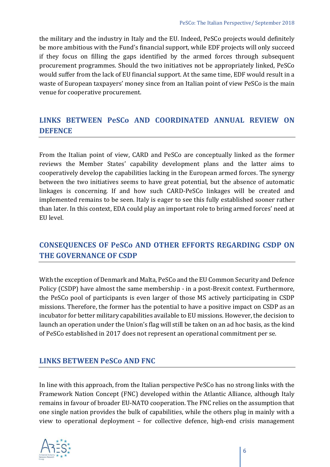the military and the industry in Italy and the EU. Indeed, PeSCo projects would definitely be more ambitious with the Fund's financial support, while EDF projects will only succeed if they focus on filling the gaps identified by the armed forces through subsequent procurement programmes. Should the two initiatives not be appropriately linked, PeSCo would suffer from the lack of EU financial support. At the same time, EDF would result in a waste of European taxpayers' money since from an Italian point of view PeSCo is the main venue for cooperative procurement.

# **LINKS BETWEEN PeSCo AND COORDINATED ANNUAL REVIEW ON DEFENCE**

From the Italian point of view, CARD and PeSCo are conceptually linked as the former reviews the Member States' capability development plans and the latter aims to cooperatively develop the capabilities lacking in the European armed forces. The synergy between the two initiatives seems to have great potential, but the absence of automatic linkages is concerning. If and how such CARD-PeSCo linkages will be created and implemented remains to be seen. Italy is eager to see this fully established sooner rather than later. In this context, EDA could play an important role to bring armed forces' need at EU level.

## **CONSEQUENCES OF PeSCo AND OTHER EFFORTS REGARDING CSDP ON THE GOVERNANCE OF CSDP**

With the exception of Denmark and Malta, PeSCo and the EU Common Security and Defence Policy (CSDP) have almost the same membership - in a post-Brexit context. Furthermore, the PeSCo pool of participants is even larger of those MS actively participating in CSDP missions. Therefore, the former has the potential to have a positive impact on CSDP as an incubator for better military capabilities available to EU missions. However, the decision to launch an operation under the Union's flag will still be taken on an ad hoc basis, as the kind of PeSCo established in 2017 does not represent an operational commitment per se.

#### **LINKS BETWEEN PeSCo AND FNC**

In line with this approach, from the Italian perspective PeSCo has no strong links with the Framework Nation Concept (FNC) developed within the Atlantic Alliance, although Italy remains in favour of broader EU-NATO cooperation. The FNC relies on the assumption that one single nation provides the bulk of capabilities, while the others plug in mainly with a view to operational deployment – for collective defence, high-end crisis management

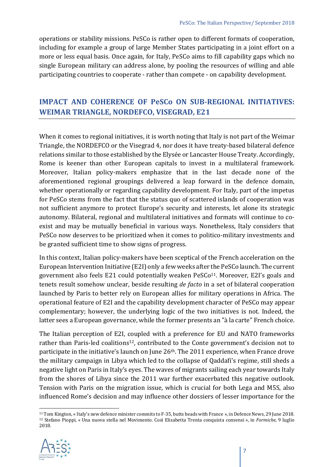operations or stability missions. PeSCo is rather open to different formats of cooperation, including for example a group of large Member States participating in a joint effort on a more or less equal basis. Once again, for Italy, PeSCo aims to fill capability gaps which no single European military can address alone, by pooling the resources of willing and able participating countries to cooperate - rather than compete - on capability development.

#### **IMPACT AND COHERENCE OF PeSCo ON SUB‐REGIONAL INITIATIVES: WEIMAR TRIANGLE, NORDEFCO, VISEGRAD, E21**

When it comes to regional initiatives, it is worth noting that Italy is not part of the Weimar Triangle, the NORDEFCO or the Visegrad 4, nor does it have treaty-based bilateral defence relations similar to those established by the Elysée or Lancaster House Treaty. Accordingly, Rome is keener than other European capitals to invest in a multilateral framework. Moreover, Italian policy-makers emphasize that in the last decade none of the aforementioned regional groupings delivered a leap forward in the defence domain, whether operationally or regarding capability development. For Italy, part of the impetus for PeSCo stems from the fact that the status quo of scattered islands of cooperation was not sufficient anymore to protect Europe's security and interests, let alone its strategic autonomy. Bilateral, regional and multilateral initiatives and formats will continue to coexist and may be mutually beneficial in various ways. Nonetheless, Italy considers that PeSCo now deserves to be prioritized when it comes to politico-military investments and be granted sufficient time to show signs of progress.

In this context, Italian policy-makers have been sceptical of the French acceleration on the European Intervention Initiative (E2I) only a few weeks after the PeSCo launch. The current government also feels E21 could potentially weaken PeSCo<sup>11</sup>. Moreover, E2I's goals and tenets result somehow unclear, beside resulting *de facto* in a set of bilateral cooperation launched by Paris to better rely on European allies for military operations in Africa. The operational feature of E2I and the capability development character of PeSCo may appear complementary; however, the underlying logic of the two initiatives is not. Indeed, the latter sees a European governance, while the former presents an "à la carte" French choice.

The Italian perception of E2I, coupled with a preference for EU and NATO frameworks rather than Paris-led coalitions<sup>12</sup>, contributed to the Conte government's decision not to participate in the initiative's launch on June 26<sup>th</sup>. The 2011 experience, when France drove the military campaign in Libya which led to the collapse of Qaddafi's regime, still sheds a negative light on Paris in Italy's eyes. The waves of migrants sailing each year towards Italy from the shores of Libya since the 2011 war further exacerbated this negative outlook. Tension with Paris on the migration issue, which is crucial for both Lega and M5S, also influenced Rome's decision and may influence other dossiers of lesser importance for the

<sup>&</sup>lt;sup>11</sup> Tom Kington, « Italy's new defence minister commits to F-35, butts heads with France », in Defence News, 29 June 2018.<br><sup>12</sup> Stefano Pioppi, « Una nuova stella nel Movimento. Così Elisabetta Trenta conquista consensi » 2018.



<u>.</u>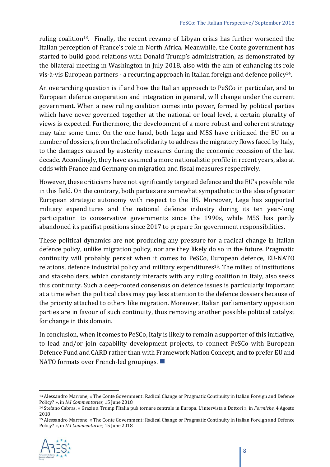ruling coalition13. Finally, the recent revamp of Libyan crisis has further worsened the Italian perception of France's role in North Africa. Meanwhile, the Conte government has started to build good relations with Donald Trump's administration, as demonstrated by the bilateral meeting in Washington in July 2018, also with the aim of enhancing its role vis-à-vis European partners - a recurring approach in Italian foreign and defence policy14.

An overarching question is if and how the Italian approach to PeSCo in particular, and to European defence cooperation and integration in general, will change under the current government. When a new ruling coalition comes into power, formed by political parties which have never governed together at the national or local level, a certain plurality of views is expected. Furthermore, the development of a more robust and coherent strategy may take some time. On the one hand, both Lega and M5S have criticized the EU on a number of dossiers, from the lack of solidarity to address the migratory flows faced by Italy, to the damages caused by austerity measures during the economic recession of the last decade. Accordingly, they have assumed a more nationalistic profile in recent years, also at odds with France and Germany on migration and fiscal measures respectively.

However, these criticisms have not significantly targeted defence and the EU's possible role in this field. On the contrary, both parties are somewhat sympathetic to the idea of greater European strategic autonomy with respect to the US. Moreover, Lega has supported military expenditures and the national defence industry during its ten year-long participation to conservative governments since the 1990s, while M5S has partly abandoned its pacifist positions since 2017 to prepare for government responsibilities.

These political dynamics are not producing any pressure for a radical change in Italian defence policy, unlike migration policy, nor are they likely do so in the future. Pragmatic continuity will probably persist when it comes to PeSCo, European defence, EU-NATO relations, defence industrial policy and military expenditures<sup>15</sup>. The milieu of institutions and stakeholders, which constantly interacts with any ruling coalition in Italy, also seeks this continuity. Such a deep-rooted consensus on defence issues is particularly important at a time when the political class may pay less attention to the defence dossiers because of the priority attached to others like migration. Moreover, Italian parliamentary opposition parties are in favour of such continuity, thus removing another possible political catalyst for change in this domain.

In conclusion, when it comes to PeSCo, Italy is likely to remain a supporter of this initiative, to lead and/or join capability development projects, to connect PeSCo with European Defence Fund and CARD rather than with Framework Nation Concept, and to prefer EU and NATO formats over French-led groupings.

<sup>15</sup> Alessandro Marrone, « The Conte Government: Radical Change or Pragmatic Continuity in Italian Foreign and Defence Policy? », in *IAI Commentaries*, 15 June 2018



<sup>-</sup>13 Alessandro Marrone, « The Conte Government: Radical Change or Pragmatic Continuity in Italian Foreign and Defence Policy? », in *IAI Commentaries*, 15 June 2018<br><sup>14</sup> Stefano Cabras, « Grazie a Trump l'Italia può tornare centrale in Europa. L'intervista a Dottori », in *Formiche*, 4 Agosto

<sup>2018</sup>